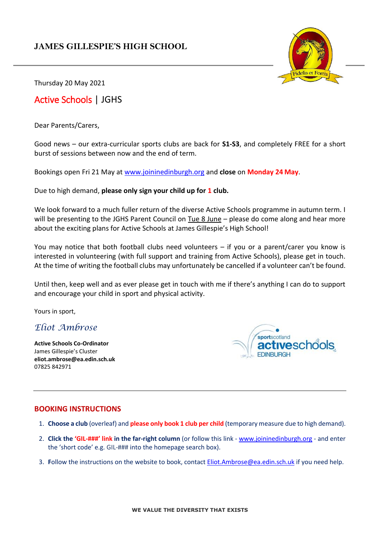### **JAMES GILLESPIE'S HIGH SCHOOL**



Thursday 20 May 2021

## Active Schools | JGHS

Dear Parents/Carers,

Good news – our extra-curricular sports clubs are back for **S1-S3**, and completely FREE for a short burst of sessions between now and the end of term.

Bookings open Fri 21 May at [www.joininedinburgh.org](http://www.joininedinburgh.org/) and **close** on **Monday 24 May**.

Due to high demand, **please only sign your child up for 1 club.**

We look forward to a much fuller return of the diverse Active Schools programme in autumn term. I will be presenting to the JGHS Parent Council on Tue 8 June – please do come along and hear more about the exciting plans for Active Schools at James Gillespie's High School!

You may notice that both football clubs need volunteers – if you or a parent/carer you know is interested in volunteering (with full support and training from Active Schools), please get in touch. At the time of writing the football clubs may unfortunately be cancelled if a volunteer can't be found.

Until then, keep well and as ever please get in touch with me if there's anything I can do to support and encourage your child in sport and physical activity.

Yours in sport,

### *Eliot Ambrose*

**Active Schools Co-Ordinator** James Gillespie's Cluster **eliot.ambrose@ea.edin.sch.uk** 07825 842971

sportscotland eschools **FDINBURGH** 

### **BOOKING INSTRUCTIONS**

- 1. **Choose a club** (overleaf) and **please only book 1 club per child** (temporary measure due to high demand).
- 2. **Click the 'GIL-###' link in the far-right column** (or follow this link [www.joininedinburgh.org](http://www.joininedinburgh.org/) and enter the 'short code' e.g. GIL-### into the homepage search box).
- 3. **F**ollow the instructions on the website to book, contac[t Eliot.Ambrose@ea.edin.sch.uk](mailto:Eliot.Ambrose@ea.edin.sch.uk) if you need help.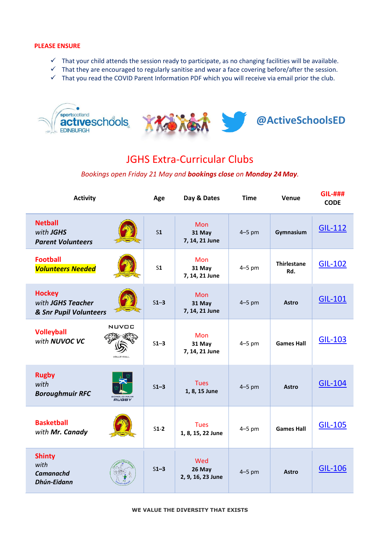#### **PLEASE ENSURE**

- ✓ That your child attends the session ready to participate, as no changing facilities will be available.
- $\checkmark$  That they are encouraged to regularly sanitise and wear a face covering before/after the session.
- ✓ That you read the COVID Parent Information PDF which you will receive via email prior the club.



# JGHS Extra-Curricular Clubs

#### *Bookings open Friday 21 May and bookings close on Monday 24 May.*

| <b>Activity</b>                                              |                             | Age            | Day & Dates                            | <b>Time</b> | Venue                     | <b>GIL-###</b><br><b>CODE</b> |
|--------------------------------------------------------------|-----------------------------|----------------|----------------------------------------|-------------|---------------------------|-------------------------------|
| <b>Netball</b><br>with JGHS<br><b>Parent Volunteers</b>      |                             | S <sub>1</sub> | <b>Mon</b><br>31 May<br>7, 14, 21 June | $4-5$ pm    | Gymnasium                 | GIL-112                       |
| <b>Football</b><br><b>Volunteers Needed</b>                  |                             | S <sub>1</sub> | <b>Mon</b><br>31 May<br>7, 14, 21 June | $4-5$ pm    | <b>Thirlestane</b><br>Rd. | <b>GIL-102</b>                |
| <b>Hockey</b><br>with JGHS Teacher<br>& Snr Pupil Volunteers |                             | $S1-3$         | <b>Mon</b><br>31 May<br>7, 14, 21 June | $4-5$ pm    | <b>Astro</b>              | <b>GIL-101</b>                |
| <b>Volleyball</b><br>with NUVOC VC                           | NUVOC<br>VOLLEYBALL         | $S1-3$         | <b>Mon</b><br>31 May<br>7, 14, 21 June | $4-5$ pm    | <b>Games Hall</b>         | <b>GIL-103</b>                |
| <b>Rugby</b><br>with<br><b>Boroughmuir RFC</b>               | <b>BOROUGHMUIF</b><br>RUGBY | $S1-3$         | <b>Tues</b><br>1, 8, 15 June           | $4-5$ pm    | <b>Astro</b>              | <b>GIL-104</b>                |
| <b>Basketball</b><br>with Mr. Canady                         |                             | $S1-2$         | <b>Tues</b><br>1, 8, 15, 22 June       | $4-5$ pm    | <b>Games Hall</b>         | <b>GIL-105</b>                |
| <b>Shinty</b><br>with<br><b>Camanachd</b><br>Dhún-Eidann     |                             | $S1-3$         | Wed<br>26 May<br>2, 9, 16, 23 June     | $4-5$ pm    | <b>Astro</b>              | <b>GIL-106</b>                |